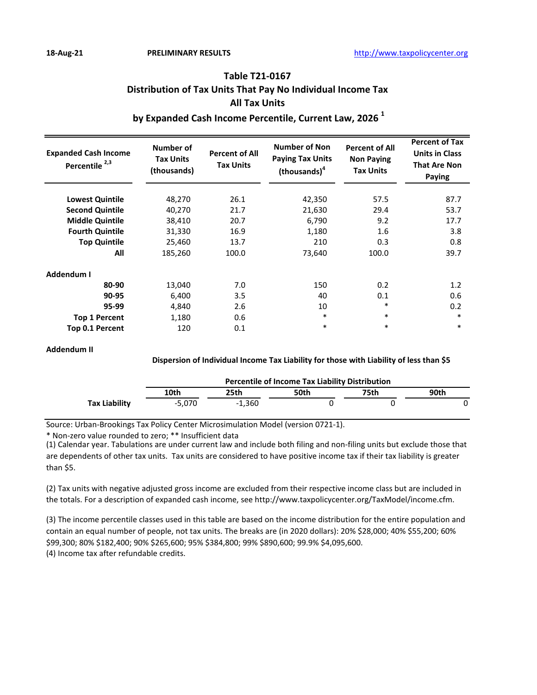# **Table T21-0167 Distribution of Tax Units That Pay No Individual Income Tax All Tax Units**

# **by Expanded Cash Income Percentile, Current Law, 2026 <sup>1</sup>**

| <b>Expanded Cash Income</b><br>Percentile <sup>2,3</sup> | Number of<br><b>Tax Units</b><br>(thousands) | <b>Percent of All</b><br><b>Tax Units</b> | <b>Number of Non</b><br><b>Paying Tax Units</b><br>(housands) <sup>4</sup> | <b>Percent of All</b><br><b>Non Paying</b><br><b>Tax Units</b> | <b>Percent of Tax</b><br><b>Units in Class</b><br><b>That Are Non</b><br><b>Paying</b> |
|----------------------------------------------------------|----------------------------------------------|-------------------------------------------|----------------------------------------------------------------------------|----------------------------------------------------------------|----------------------------------------------------------------------------------------|
| <b>Lowest Quintile</b>                                   | 48,270                                       | 26.1                                      | 42,350                                                                     | 57.5                                                           | 87.7                                                                                   |
| <b>Second Quintile</b>                                   | 40,270                                       | 21.7                                      | 21,630                                                                     | 29.4                                                           | 53.7                                                                                   |
| <b>Middle Quintile</b>                                   | 38,410                                       | 20.7                                      | 6,790                                                                      | 9.2                                                            | 17.7                                                                                   |
| <b>Fourth Quintile</b>                                   | 31,330                                       | 16.9                                      | 1,180                                                                      | 1.6                                                            | 3.8                                                                                    |
| <b>Top Quintile</b>                                      | 25,460                                       | 13.7                                      | 210                                                                        | 0.3                                                            | 0.8                                                                                    |
| All                                                      | 185,260                                      | 100.0                                     | 73,640                                                                     | 100.0                                                          | 39.7                                                                                   |
| Addendum I                                               |                                              |                                           |                                                                            |                                                                |                                                                                        |
| 80-90                                                    | 13,040                                       | 7.0                                       | 150                                                                        | 0.2                                                            | 1.2                                                                                    |
| 90-95                                                    | 6,400                                        | 3.5                                       | 40                                                                         | 0.1                                                            | 0.6                                                                                    |
| 95-99                                                    | 4,840                                        | 2.6                                       | 10                                                                         | $\ast$                                                         | 0.2                                                                                    |
| <b>Top 1 Percent</b>                                     | 1,180                                        | 0.6                                       | $\ast$                                                                     | $\ast$                                                         | $\ast$                                                                                 |
| Top 0.1 Percent                                          | 120                                          | 0.1                                       | $\ast$                                                                     | $\ast$                                                         | $\ast$                                                                                 |

#### **Addendum II**

#### **Dispersion of Individual Income Tax Liability for those with Liability of less than \$5**

|               | <b>Percentile of Income Tax Liability Distribution</b> |          |      |      |      |  |  |  |
|---------------|--------------------------------------------------------|----------|------|------|------|--|--|--|
|               | 10th                                                   | 25th     | 50th | 75th | 90th |  |  |  |
| Tax Liability | $-5.070$                                               | $-1.360$ |      |      |      |  |  |  |

Source: Urban-Brookings Tax Policy Center Microsimulation Model (version 0721-1).

\* Non-zero value rounded to zero; \*\* Insufficient data

(1) Calendar year. Tabulations are under current law and include both filing and non-filing units but exclude those that are dependents of other tax units. Tax units are considered to have positive income tax if their tax liability is greater than \$5.

(2) Tax units with negative adjusted gross income are excluded from their respective income class but are included in the totals. For a description of expanded cash income, see http://www.taxpolicycenter.org/TaxModel/income.cfm.

(3) The income percentile classes used in this table are based on the income distribution for the entire population and contain an equal number of people, not tax units. The breaks are (in 2020 dollars): 20% \$28,000; 40% \$55,200; 60% \$99,300; 80% \$182,400; 90% \$265,600; 95% \$384,800; 99% \$890,600; 99.9% \$4,095,600. (4) Income tax after refundable credits.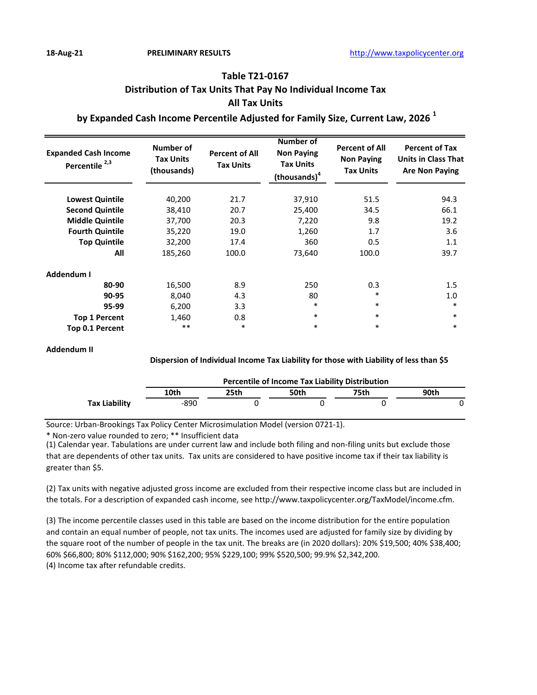# **Table T21-0167 Distribution of Tax Units That Pay No Individual Income Tax All Tax Units**

### **by Expanded Cash Income Percentile Adjusted for Family Size, Current Law, 2026 <sup>1</sup>**

| <b>Expanded Cash Income</b><br>Percentile <sup>2,3</sup> | Number of<br><b>Tax Units</b><br>(thousands) | <b>Percent of All</b><br><b>Tax Units</b> | Number of<br><b>Non Paying</b><br><b>Tax Units</b><br>(thousands) <sup>4</sup> | <b>Percent of All</b><br><b>Non Paying</b><br><b>Tax Units</b> | <b>Percent of Tax</b><br><b>Units in Class That</b><br><b>Are Non Paying</b> |
|----------------------------------------------------------|----------------------------------------------|-------------------------------------------|--------------------------------------------------------------------------------|----------------------------------------------------------------|------------------------------------------------------------------------------|
| <b>Lowest Quintile</b>                                   | 40,200                                       | 21.7                                      | 37,910                                                                         | 51.5                                                           | 94.3                                                                         |
| <b>Second Quintile</b>                                   | 38,410                                       | 20.7                                      | 25,400                                                                         | 34.5                                                           | 66.1                                                                         |
| <b>Middle Quintile</b>                                   | 37,700                                       | 20.3                                      | 7,220                                                                          | 9.8                                                            | 19.2                                                                         |
| <b>Fourth Quintile</b>                                   | 35,220                                       | 19.0                                      | 1,260                                                                          | 1.7                                                            | 3.6                                                                          |
| <b>Top Quintile</b>                                      | 32,200                                       | 17.4                                      | 360                                                                            | 0.5                                                            | 1.1                                                                          |
| All                                                      | 185,260                                      | 100.0                                     | 73,640                                                                         | 100.0                                                          | 39.7                                                                         |
| Addendum I                                               |                                              |                                           |                                                                                |                                                                |                                                                              |
| 80-90                                                    | 16,500                                       | 8.9                                       | 250                                                                            | 0.3                                                            | 1.5                                                                          |
| 90-95                                                    | 8,040                                        | 4.3                                       | 80                                                                             | *                                                              | 1.0                                                                          |
| 95-99                                                    | 6,200                                        | 3.3                                       | *                                                                              | $\ast$                                                         | $\ast$                                                                       |
| <b>Top 1 Percent</b>                                     | 1,460                                        | 0.8                                       | $\ast$                                                                         | $\ast$                                                         | $\ast$                                                                       |
| Top 0.1 Percent                                          | $***$                                        | $\ast$                                    | $\ast$                                                                         | $\ast$                                                         | $\ast$                                                                       |

#### **Addendum II**

#### **Dispersion of Individual Income Tax Liability for those with Liability of less than \$5**

|               | <b>Percentile of Income Tax Liability Distribution</b> |      |      |      |      |  |  |  |
|---------------|--------------------------------------------------------|------|------|------|------|--|--|--|
|               | 10th                                                   | 25th | 50th | 75th | 90th |  |  |  |
| Tax Liability | -890                                                   |      |      |      |      |  |  |  |

Source: Urban-Brookings Tax Policy Center Microsimulation Model (version 0721-1).

\* Non-zero value rounded to zero; \*\* Insufficient data

(1) Calendar year. Tabulations are under current law and include both filing and non-filing units but exclude those that are dependents of other tax units. Tax units are considered to have positive income tax if their tax liability is greater than \$5.

(2) Tax units with negative adjusted gross income are excluded from their respective income class but are included in the totals. For a description of expanded cash income, see http://www.taxpolicycenter.org/TaxModel/income.cfm.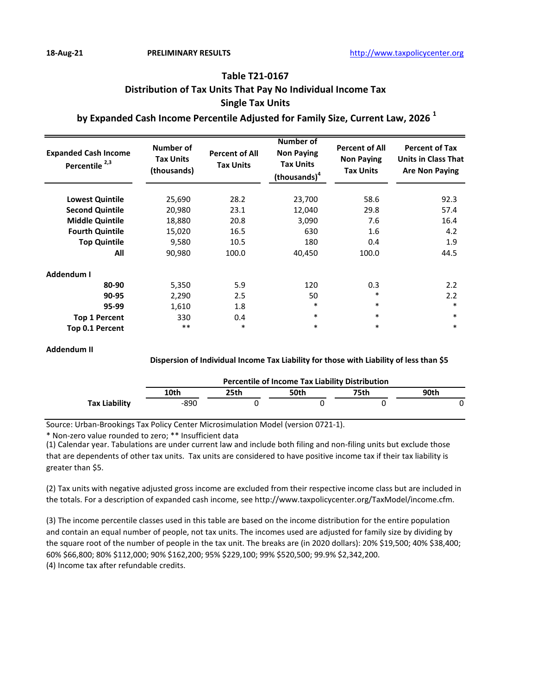# **Table T21-0167 Distribution of Tax Units That Pay No Individual Income Tax Single Tax Units**

### **by Expanded Cash Income Percentile Adjusted for Family Size, Current Law, 2026 <sup>1</sup>**

| <b>Expanded Cash Income</b><br>Percentile <sup>2,3</sup> | Number of<br><b>Tax Units</b><br>(thousands) | <b>Percent of All</b><br><b>Tax Units</b> | <b>Number of</b><br><b>Non Paying</b><br><b>Tax Units</b><br>(thousands) <sup>4</sup> | <b>Percent of All</b><br><b>Non Paying</b><br><b>Tax Units</b> | <b>Percent of Tax</b><br><b>Units in Class That</b><br><b>Are Non Paying</b> |
|----------------------------------------------------------|----------------------------------------------|-------------------------------------------|---------------------------------------------------------------------------------------|----------------------------------------------------------------|------------------------------------------------------------------------------|
| <b>Lowest Quintile</b>                                   | 25,690                                       | 28.2                                      | 23,700                                                                                | 58.6                                                           | 92.3                                                                         |
| <b>Second Quintile</b>                                   | 20,980                                       | 23.1                                      | 12,040                                                                                | 29.8                                                           | 57.4                                                                         |
| <b>Middle Quintile</b>                                   | 18,880                                       | 20.8                                      | 3,090                                                                                 | 7.6                                                            | 16.4                                                                         |
| <b>Fourth Quintile</b>                                   | 15,020                                       | 16.5                                      | 630                                                                                   | 1.6                                                            | 4.2                                                                          |
| <b>Top Quintile</b>                                      | 9,580                                        | 10.5                                      | 180                                                                                   | 0.4                                                            | 1.9                                                                          |
| All                                                      | 90,980                                       | 100.0                                     | 40,450                                                                                | 100.0                                                          | 44.5                                                                         |
| Addendum I                                               |                                              |                                           |                                                                                       |                                                                |                                                                              |
| 80-90                                                    | 5,350                                        | 5.9                                       | 120                                                                                   | 0.3                                                            | 2.2                                                                          |
| 90-95                                                    | 2,290                                        | 2.5                                       | 50                                                                                    | $\ast$                                                         | 2.2                                                                          |
| 95-99                                                    | 1,610                                        | 1.8                                       | $\ast$                                                                                | $\ast$                                                         | $\ast$                                                                       |
| <b>Top 1 Percent</b>                                     | 330                                          | 0.4                                       | $\ast$                                                                                | $\ast$                                                         | $\ast$                                                                       |
| Top 0.1 Percent                                          | $***$                                        | $\ast$                                    | $\ast$                                                                                | $\ast$                                                         | $\ast$                                                                       |

#### **Addendum II**

#### **Dispersion of Individual Income Tax Liability for those with Liability of less than \$5**

|               | <b>Percentile of Income Tax Liability Distribution</b> |      |      |      |      |  |  |  |
|---------------|--------------------------------------------------------|------|------|------|------|--|--|--|
|               | 10th                                                   | 25th | 50th | 75th | 90th |  |  |  |
| Tax Liability | -890                                                   |      |      |      |      |  |  |  |

Source: Urban-Brookings Tax Policy Center Microsimulation Model (version 0721-1).

\* Non-zero value rounded to zero; \*\* Insufficient data

(1) Calendar year. Tabulations are under current law and include both filing and non-filing units but exclude those that are dependents of other tax units. Tax units are considered to have positive income tax if their tax liability is greater than \$5.

(2) Tax units with negative adjusted gross income are excluded from their respective income class but are included in the totals. For a description of expanded cash income, see http://www.taxpolicycenter.org/TaxModel/income.cfm.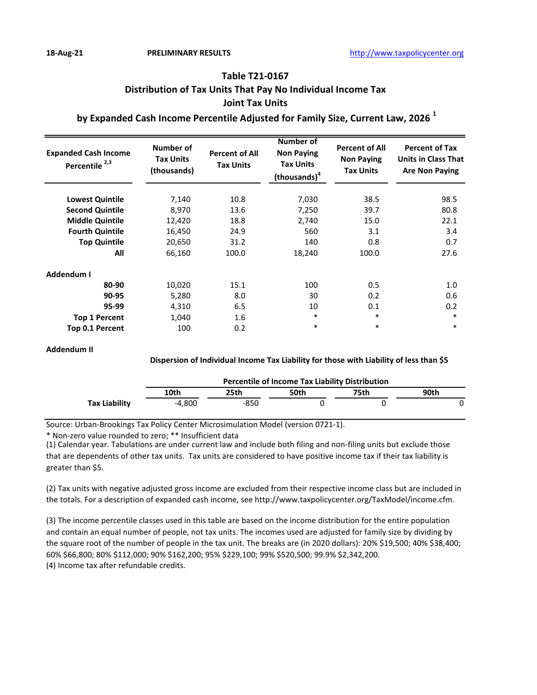# **Table T21-0167 Distribution of Tax Units That Pay No Individual Income Tax Joint Tax Units**

### **by Expanded Cash Income Percentile Adjusted for Family Size, Current Law, 2026 <sup>1</sup>**

| <b>Expanded Cash Income</b><br>Percentile <sup>2,3</sup> | Number of<br><b>Tax Units</b><br>(thousands) | <b>Percent of All</b><br><b>Tax Units</b> | Number of<br><b>Non Paying</b><br><b>Tax Units</b><br>(thousands) <sup>4</sup> | <b>Percent of All</b><br><b>Non Paying</b><br><b>Tax Units</b> | <b>Percent of Tax</b><br><b>Units in Class That</b><br><b>Are Non Paying</b> |
|----------------------------------------------------------|----------------------------------------------|-------------------------------------------|--------------------------------------------------------------------------------|----------------------------------------------------------------|------------------------------------------------------------------------------|
| <b>Lowest Quintile</b>                                   | 7,140                                        | 10.8                                      | 7,030                                                                          | 38.5                                                           | 98.5                                                                         |
| <b>Second Quintile</b>                                   | 8,970                                        | 13.6                                      | 7,250                                                                          | 39.7                                                           | 80.8                                                                         |
| <b>Middle Quintile</b>                                   | 12,420                                       | 18.8                                      | 2,740                                                                          | 15.0                                                           | 22.1                                                                         |
| <b>Fourth Quintile</b>                                   | 16,450                                       | 24.9                                      | 560                                                                            | 3.1                                                            | 3.4                                                                          |
| <b>Top Quintile</b>                                      | 20,650                                       | 31.2                                      | 140                                                                            | 0.8                                                            | 0.7                                                                          |
| All                                                      | 66,160                                       | 100.0                                     | 18,240                                                                         | 100.0                                                          | 27.6                                                                         |
| Addendum I                                               |                                              |                                           |                                                                                |                                                                |                                                                              |
| 80-90                                                    | 10,020                                       | 15.1                                      | 100                                                                            | 0.5                                                            | 1.0                                                                          |
| 90-95                                                    | 5,280                                        | 8.0                                       | 30                                                                             | 0.2                                                            | 0.6                                                                          |
| 95-99                                                    | 4,310                                        | 6.5                                       | 10                                                                             | 0.1                                                            | 0.2                                                                          |
| <b>Top 1 Percent</b>                                     | 1,040                                        | 1.6                                       | $\ast$                                                                         | $\ast$                                                         | $\ast$                                                                       |
| <b>Top 0.1 Percent</b>                                   | 100                                          | 0.2                                       | $\ast$                                                                         | $\ast$                                                         | $\ast$                                                                       |

#### **Addendum II**

#### **Dispersion of Individual Income Tax Liability for those with Liability of less than \$5**

|                      | <b>Percentile of Income Tax Liability Distribution</b> |      |      |      |      |  |  |  |
|----------------------|--------------------------------------------------------|------|------|------|------|--|--|--|
|                      | 10th                                                   | 25th | 50th | 75th | 90th |  |  |  |
| <b>Tax Liability</b> | -4.800                                                 | -850 |      |      |      |  |  |  |

Source: Urban-Brookings Tax Policy Center Microsimulation Model (version 0721-1).

\* Non-zero value rounded to zero; \*\* Insufficient data

(1) Calendar year. Tabulations are under current law and include both filing and non-filing units but exclude those that are dependents of other tax units. Tax units are considered to have positive income tax if their tax liability is greater than \$5.

(2) Tax units with negative adjusted gross income are excluded from their respective income class but are included in the totals. For a description of expanded cash income, see http://www.taxpolicycenter.org/TaxModel/income.cfm.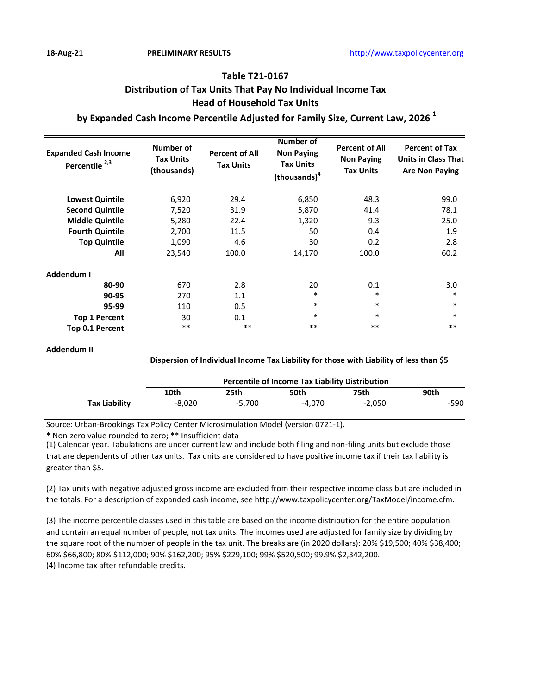## **Table T21-0167 Distribution of Tax Units That Pay No Individual Income Tax Head of Household Tax Units**

### **by Expanded Cash Income Percentile Adjusted for Family Size, Current Law, 2026 <sup>1</sup>**

| <b>Expanded Cash Income</b><br>Percentile <sup>2,3</sup> | Number of<br><b>Tax Units</b><br>(thousands) | <b>Percent of All</b><br><b>Tax Units</b> | Number of<br><b>Non Paying</b><br><b>Tax Units</b><br>(thousands) <sup>4</sup> | <b>Percent of All</b><br><b>Non Paying</b><br><b>Tax Units</b> | <b>Percent of Tax</b><br><b>Units in Class That</b><br><b>Are Non Paying</b> |
|----------------------------------------------------------|----------------------------------------------|-------------------------------------------|--------------------------------------------------------------------------------|----------------------------------------------------------------|------------------------------------------------------------------------------|
| <b>Lowest Quintile</b>                                   | 6,920                                        | 29.4                                      | 6,850                                                                          | 48.3                                                           | 99.0                                                                         |
| <b>Second Quintile</b>                                   | 7,520                                        | 31.9                                      | 5,870                                                                          | 41.4                                                           | 78.1                                                                         |
| <b>Middle Quintile</b>                                   | 5,280                                        | 22.4                                      | 1,320                                                                          | 9.3                                                            | 25.0                                                                         |
| <b>Fourth Quintile</b>                                   | 2,700                                        | 11.5                                      | 50                                                                             | 0.4                                                            | 1.9                                                                          |
| <b>Top Quintile</b>                                      | 1,090                                        | 4.6                                       | 30                                                                             | 0.2                                                            | 2.8                                                                          |
| All                                                      | 23,540                                       | 100.0                                     | 14,170                                                                         | 100.0                                                          | 60.2                                                                         |
| Addendum I                                               |                                              |                                           |                                                                                |                                                                |                                                                              |
| 80-90                                                    | 670                                          | 2.8                                       | 20                                                                             | 0.1                                                            | 3.0                                                                          |
| 90-95                                                    | 270                                          | 1.1                                       | $\ast$                                                                         | $\ast$                                                         | $\ast$                                                                       |
| 95-99                                                    | 110                                          | 0.5                                       | $\ast$                                                                         | $\ast$                                                         | $\ast$                                                                       |
| <b>Top 1 Percent</b>                                     | 30                                           | 0.1                                       | $\ast$                                                                         | $\ast$                                                         | $\ast$                                                                       |
| Top 0.1 Percent                                          | $***$                                        | $***$                                     | $***$                                                                          | $***$                                                          | $***$                                                                        |

#### **Addendum II**

#### **Dispersion of Individual Income Tax Liability for those with Liability of less than \$5**

|               | <b>Percentile of Income Tax Liability Distribution</b> |          |        |          |      |  |  |  |
|---------------|--------------------------------------------------------|----------|--------|----------|------|--|--|--|
|               | 10th                                                   | 25th     | 50th   | 75th     | 90th |  |  |  |
| Tax Liability | $-8.020$                                               | $-5.700$ | -4.070 | $-2.050$ | -590 |  |  |  |

Source: Urban-Brookings Tax Policy Center Microsimulation Model (version 0721-1).

\* Non-zero value rounded to zero; \*\* Insufficient data

(1) Calendar year. Tabulations are under current law and include both filing and non-filing units but exclude those that are dependents of other tax units. Tax units are considered to have positive income tax if their tax liability is greater than \$5.

(2) Tax units with negative adjusted gross income are excluded from their respective income class but are included in the totals. For a description of expanded cash income, see http://www.taxpolicycenter.org/TaxModel/income.cfm.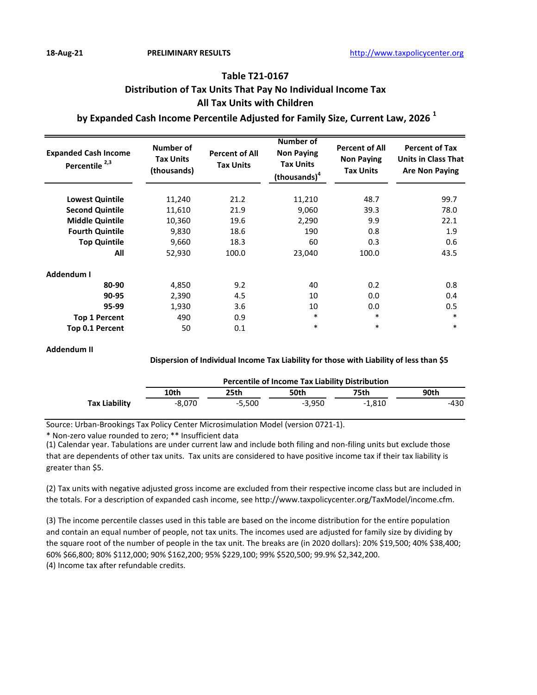## **Table T21-0167 Distribution of Tax Units That Pay No Individual Income Tax All Tax Units with Children**

### **by Expanded Cash Income Percentile Adjusted for Family Size, Current Law, 2026 <sup>1</sup>**

| <b>Expanded Cash Income</b><br>Percentile <sup>2,3</sup> | Number of<br><b>Tax Units</b><br>(thousands) | <b>Percent of All</b><br><b>Tax Units</b> | <b>Number of</b><br><b>Non Paying</b><br><b>Tax Units</b><br>(thousands) <sup>4</sup> | <b>Percent of All</b><br><b>Non Paying</b><br><b>Tax Units</b> | <b>Percent of Tax</b><br><b>Units in Class That</b><br><b>Are Non Paying</b> |
|----------------------------------------------------------|----------------------------------------------|-------------------------------------------|---------------------------------------------------------------------------------------|----------------------------------------------------------------|------------------------------------------------------------------------------|
| <b>Lowest Quintile</b>                                   | 11,240                                       | 21.2                                      | 11,210                                                                                | 48.7                                                           | 99.7                                                                         |
| <b>Second Quintile</b>                                   | 11,610                                       | 21.9                                      | 9,060                                                                                 | 39.3                                                           | 78.0                                                                         |
| <b>Middle Quintile</b>                                   | 10,360                                       | 19.6                                      | 2,290                                                                                 | 9.9                                                            | 22.1                                                                         |
| <b>Fourth Quintile</b>                                   | 9,830                                        | 18.6                                      | 190                                                                                   | 0.8                                                            | 1.9                                                                          |
| <b>Top Quintile</b>                                      | 9,660                                        | 18.3                                      | 60                                                                                    | 0.3                                                            | 0.6                                                                          |
| All                                                      | 52,930                                       | 100.0                                     | 23,040                                                                                | 100.0                                                          | 43.5                                                                         |
| Addendum I                                               |                                              |                                           |                                                                                       |                                                                |                                                                              |
| 80-90                                                    | 4,850                                        | 9.2                                       | 40                                                                                    | 0.2                                                            | 0.8                                                                          |
| 90-95                                                    | 2,390                                        | 4.5                                       | 10                                                                                    | 0.0                                                            | 0.4                                                                          |
| 95-99                                                    | 1,930                                        | 3.6                                       | 10                                                                                    | 0.0                                                            | 0.5                                                                          |
| <b>Top 1 Percent</b>                                     | 490                                          | 0.9                                       | $\ast$                                                                                | $\ast$                                                         | $\ast$                                                                       |
| <b>Top 0.1 Percent</b>                                   | 50                                           | 0.1                                       | $\ast$                                                                                | $\ast$                                                         | $\ast$                                                                       |

#### **Addendum II**

#### **Dispersion of Individual Income Tax Liability for those with Liability of less than \$5**

|               | <b>Percentile of Income Tax Liability Distribution</b> |          |          |          |      |  |  |
|---------------|--------------------------------------------------------|----------|----------|----------|------|--|--|
|               | 10th                                                   | 25th     | 50th     | 75th     | 90th |  |  |
| Tax Liability | -8.070                                                 | $-5.500$ | $-3.950$ | $-1.810$ | -430 |  |  |

Source: Urban-Brookings Tax Policy Center Microsimulation Model (version 0721-1).

\* Non-zero value rounded to zero; \*\* Insufficient data

(1) Calendar year. Tabulations are under current law and include both filing and non-filing units but exclude those that are dependents of other tax units. Tax units are considered to have positive income tax if their tax liability is greater than \$5.

(2) Tax units with negative adjusted gross income are excluded from their respective income class but are included in the totals. For a description of expanded cash income, see http://www.taxpolicycenter.org/TaxModel/income.cfm.